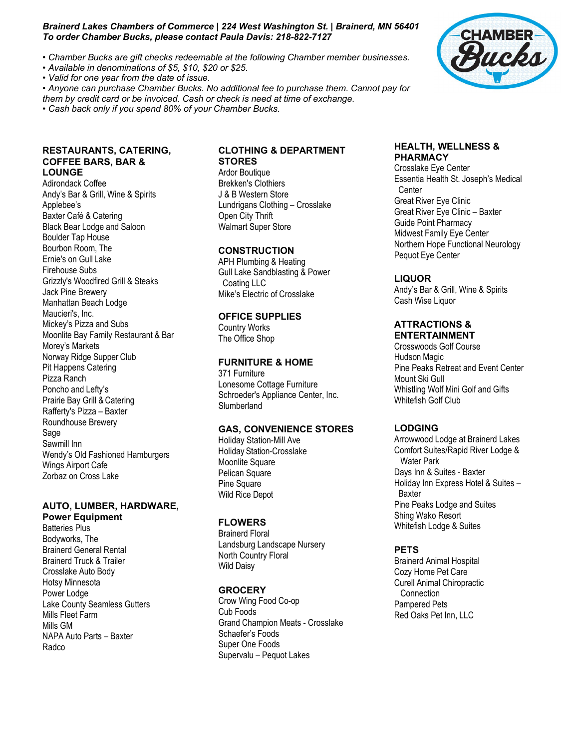#### *Brainerd Lakes Chambers of Commerce | 224 West Washington St. | Brainerd, MN 56401 To order Chamber Bucks, please contact Paula Davis: 218-822-7127*

- *Chamber Bucks are gift checks redeemable at the following Chamber member businesses.*
- *Available in denominations of \$5, \$10, \$20 or \$25.*
- *Valid for one year from the date of issue.*

*• Anyone can purchase Chamber Bucks. No additional fee to purchase them. Cannot pay for them by credit card or be invoiced. Cash or check is need at time of exchange.*

*• Cash back only if you spend 80% of your Chamber Bucks.*

# **RESTAURANTS, CATERING, COFFEE BARS, BAR & LOUNGE**

Adirondack Coffee Andy's Bar & Grill, Wine & Spirits Applebee's Baxter Café & Catering Black Bear Lodge and Saloon Boulder Tap House Bourbon Room, The Ernie's on Gull Lake Firehouse Subs Grizzly's Woodfired Grill & Steaks Jack Pine Brewery Manhattan Beach Lodge Maucieri's, Inc. Mickey's Pizza and Subs Moonlite Bay Family Restaurant & Bar Morey's Markets Norway Ridge Supper Club Pit Happens Catering Pizza Ranch Poncho and Lefty's Prairie Bay Grill & Catering Rafferty's Pizza – Baxter Roundhouse Brewery Sage Sawmill Inn Wendy's Old Fashioned Hamburgers Wings Airport Cafe Zorbaz on Cross Lake

## **AUTO, LUMBER, HARDWARE, Power Equipment**

Batteries Plus Bodyworks, The Brainerd General Rental Brainerd Truck & Trailer Crosslake Auto Body Hotsy Minnesota Power Lodge Lake County Seamless Gutters Mills Fleet Farm Mills GM NAPA Auto Parts – Baxter Radco

# **CLOTHING & DEPARTMENT STORES**

Ardor Boutique Brekken's Clothiers J & B Western Store Lundrigans Clothing – Crosslake Open City Thrift Walmart Super Store

# **CONSTRUCTION**

APH Plumbing & Heating Gull Lake Sandblasting & Power Coating LLC Mike's Electric of Crosslake

# **OFFICE SUPPLIES**

Country Works The Office Shop

# **FURNITURE & HOME**

371 Furniture Lonesome Cottage Furniture Schroeder's Appliance Center, Inc. Slumberland

### **GAS, CONVENIENCE STORES**

Holiday Station-Mill Ave Holiday Station-Crosslake Moonlite Square Pelican Square Pine Square Wild Rice Depot

# **FLOWERS**

Brainerd Floral Landsburg Landscape Nursery North Country Floral Wild Daisy

### **GROCERY**

Crow Wing Food Co-op Cub Foods Grand Champion Meats - Crosslake Schaefer's Foods Super One Foods Supervalu – Pequot Lakes

### **HEALTH, WELLNESS & PHARMACY**

Crosslake Eye Center Essentia Health St. Joseph's Medical **Center** Great River Eye Clinic Great River Eye Clinic – Baxter Guide Point Pharmacy Midwest Family Eye Center Northern Hope Functional Neurology Pequot Eye Center

# **LIQUOR**

Andy's Bar & Grill, Wine & Spirits Cash Wise Liquor

#### **ATTRACTIONS & ENTERTAINMENT**

Crosswoods Golf Course Hudson Magic Pine Peaks Retreat and Event Center Mount Ski Gull Whistling Wolf Mini Golf and Gifts Whitefish Golf Club

# **LODGING**

Arrowwood Lodge at Brainerd Lakes Comfort Suites/Rapid River Lodge & Water Park Days Inn & Suites - Baxter Holiday Inn Express Hotel & Suites – Baxter Pine Peaks Lodge and Suites Shing Wako Resort Whitefish Lodge & Suites

# **PETS**

Brainerd Animal Hospital Cozy Home Pet Care Curell Animal Chiropractic **Connection** Pampered Pets Red Oaks Pet Inn, LLC